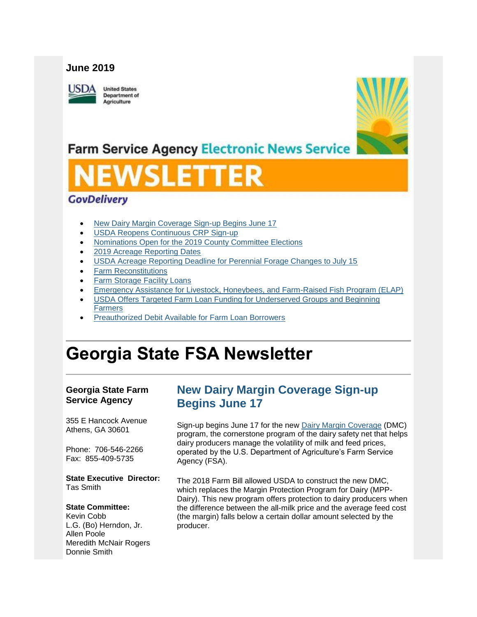### **June 2019**

USDA

**United States Department of** Agriculture



## **Farm Service Agency Electronic News Service**

# VSLET

## **GovDelivery**

- [New Dairy Margin Coverage Sign-up Begins June 17](#page-0-0)
- [USDA Reopens Continuous CRP Sign-up](#page-2-0)
- [Nominations Open for the 2019 County Committee Elections](#page-3-0)
- [2019 Acreage Reporting Dates](#page-3-1)
- [USDA Acreage Reporting Deadline for Perennial Forage Changes to July 15](#page-4-0)
- [Farm Reconstitutions](#page-4-1)
- **Farm Storage [Facility Loans](#page-5-0)**
- [Emergency Assistance for Livestock, Honeybees, and Farm-Raised Fish Program \(ELAP\)](#page-6-0)
- [USDA Offers Targeted Farm Loan Funding for Underserved Groups and Beginning](#page-6-1)  [Farmers](#page-6-1)
- [Preauthorized Debit Available for Farm Loan Borrowers](#page-7-0)

## **Georgia State FSA Newsletter**

#### **Georgia State Farm Service Agency**

355 E Hancock Avenue Athens, GA 30601

Phone: 706-546-2266 Fax: 855-409-5735

**State Executive Director:** Tas Smith

#### **State Committee:**

Kevin Cobb L.G. (Bo) Herndon, Jr. Allen Poole Meredith McNair Rogers Donnie Smith

## <span id="page-0-0"></span>**New Dairy Margin Coverage Sign-up Begins June 17**

Sign-up begins June 17 for the new [Dairy Margin Coverage](https://gcc01.safelinks.protection.outlook.com/?url=https%3A%2F%2Fwww.fsa.usda.gov%2Fprograms-and-services%2Fdairy-margin-coverage-program%2Findex%3Futm_medium%3Demail%26utm_source%3Dgovdelivery&data=01%7C01%7C%7Cc546608a2b57463bdea908d6f346e3da%7Ced5b36e701ee4ebc867ee03cfa0d4697%7C1&sdata=f8kl%2FmhTxMvpxy2PbZqhaspyvxNJqHyn4L46aJZC1AE%3D&reserved=0) (DMC) program, the cornerstone program of the dairy safety net that helps dairy producers manage the volatility of milk and feed prices, operated by the U.S. Department of Agriculture's Farm Service Agency (FSA).

The 2018 Farm Bill allowed USDA to construct the new DMC, which replaces the Margin Protection Program for Dairy (MPP-Dairy). This new program offers protection to dairy producers when the difference between the all-milk price and the average feed cost (the margin) falls below a certain dollar amount selected by the producer.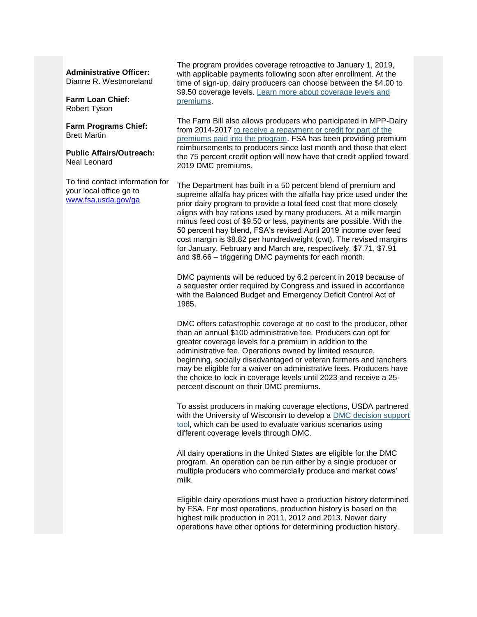#### **Administrative Officer:**

Dianne R. Westmoreland

#### **Farm Loan Chief:** Robert Tyson

**Farm Programs Chief:** Brett Martin

**Public Affairs/Outreach:** Neal Leonard

To find contact information for your local office go to [www.fsa.usda.gov/ga](http://www.fsa.usda.gov/ga)

The program provides coverage retroactive to January 1, 2019, with applicable payments following soon after enrollment. At the time of sign-up, dairy producers can choose between the \$4.00 to \$9.50 coverage levels. Learn more about coverage levels and [premiums.](https://gcc01.safelinks.protection.outlook.com/?url=https%3A%2F%2Fwww.fsa.usda.gov%2FAssets%2FUSDA-FSA-Public%2Fusdafiles%2FFactSheets%2F2019%2Fdairy_margin_coverage_program-june_2019_fact_sheet.pdf%3Futm_medium%3Demail%26utm_source%3Dgovdelivery&data=01%7C01%7C%7Cc546608a2b57463bdea908d6f346e3da%7Ced5b36e701ee4ebc867ee03cfa0d4697%7C1&sdata=mK9oQp%2BYLHTXAgz%2Bh8LFQEJhSFwq0NnO2%2Be4XrwKovM%3D&reserved=0)

The Farm Bill also allows producers who participated in MPP-Dairy from 2014-2017 [to receive a repayment or credit for part of the](https://gcc01.safelinks.protection.outlook.com/?url=https%3A%2F%2Fwww.fsa.usda.gov%2Fnews-room%2Fnews-releases%2F2019%2Fusda-announces-repayment-options-for-producers-with-coverage-in-previous-margin-protection-program-for-dairy%3Futm_medium%3Demail%26utm_source%3Dgovdelivery&data=01%7C01%7C%7Cc546608a2b57463bdea908d6f346e3da%7Ced5b36e701ee4ebc867ee03cfa0d4697%7C1&sdata=GR4UPh9V48UPuARZWsqykWHCWQW57JX2Jj49d9PqLN4%3D&reserved=0)  [premiums paid into the program.](https://gcc01.safelinks.protection.outlook.com/?url=https%3A%2F%2Fwww.fsa.usda.gov%2Fnews-room%2Fnews-releases%2F2019%2Fusda-announces-repayment-options-for-producers-with-coverage-in-previous-margin-protection-program-for-dairy%3Futm_medium%3Demail%26utm_source%3Dgovdelivery&data=01%7C01%7C%7Cc546608a2b57463bdea908d6f346e3da%7Ced5b36e701ee4ebc867ee03cfa0d4697%7C1&sdata=GR4UPh9V48UPuARZWsqykWHCWQW57JX2Jj49d9PqLN4%3D&reserved=0) FSA has been providing premium reimbursements to producers since last month and those that elect the 75 percent credit option will now have that credit applied toward 2019 DMC premiums.

The Department has built in a 50 percent blend of premium and supreme alfalfa hay prices with the alfalfa hay price used under the prior dairy program to provide a total feed cost that more closely aligns with hay rations used by many producers. At a milk margin minus feed cost of \$9.50 or less, payments are possible. With the 50 percent hay blend, FSA's revised April 2019 income over feed cost margin is \$8.82 per hundredweight (cwt). The revised margins for January, February and March are, respectively, \$7.71, \$7.91 and \$8.66 – triggering DMC payments for each month.

DMC payments will be reduced by 6.2 percent in 2019 because of a sequester order required by Congress and issued in accordance with the Balanced Budget and Emergency Deficit Control Act of 1985.

DMC offers catastrophic coverage at no cost to the producer, other than an annual \$100 administrative fee. Producers can opt for greater coverage levels for a premium in addition to the administrative fee. Operations owned by limited resource, beginning, socially disadvantaged or veteran farmers and ranchers may be eligible for a waiver on administrative fees. Producers have the choice to lock in coverage levels until 2023 and receive a 25 percent discount on their DMC premiums.

To assist producers in making coverage elections, USDA partnered with the University of Wisconsin to develop a [DMC decision support](https://gcc01.safelinks.protection.outlook.com/?url=https%3A%2F%2Fwww.fsa.usda.gov%2Fprograms-and-services%2Ffarm-bill%2Ffarm-safety-net%2Fdairy-programs%2Fdmc-decision-tool%2Findex%3Futm_medium%3Demail%26utm_source%3Dgovdelivery&data=01%7C01%7C%7Cc546608a2b57463bdea908d6f346e3da%7Ced5b36e701ee4ebc867ee03cfa0d4697%7C1&sdata=smhpr3PN57r2doErJJvCLAcjXj8XYMYyKx%2BhO30P4TI%3D&reserved=0)  [tool,](https://gcc01.safelinks.protection.outlook.com/?url=https%3A%2F%2Fwww.fsa.usda.gov%2Fprograms-and-services%2Ffarm-bill%2Ffarm-safety-net%2Fdairy-programs%2Fdmc-decision-tool%2Findex%3Futm_medium%3Demail%26utm_source%3Dgovdelivery&data=01%7C01%7C%7Cc546608a2b57463bdea908d6f346e3da%7Ced5b36e701ee4ebc867ee03cfa0d4697%7C1&sdata=smhpr3PN57r2doErJJvCLAcjXj8XYMYyKx%2BhO30P4TI%3D&reserved=0) which can be used to evaluate various scenarios using different coverage levels through DMC.

All dairy operations in the United States are eligible for the DMC program. An operation can be run either by a single producer or multiple producers who commercially produce and market cows' milk.

Eligible dairy operations must have a production history determined by FSA. For most operations, production history is based on the highest milk production in 2011, 2012 and 2013. Newer dairy operations have other options for determining production history.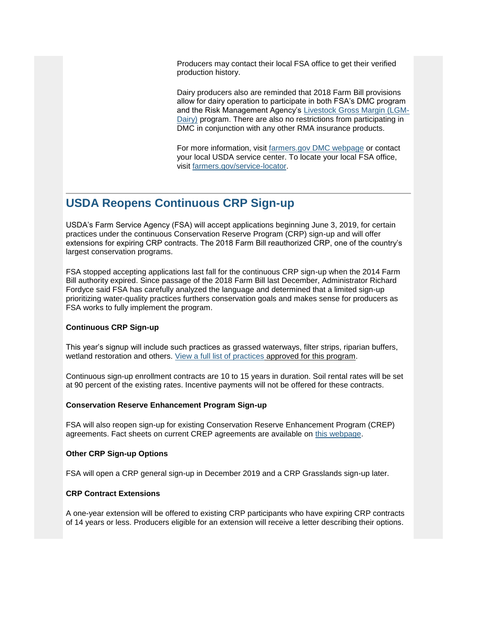Producers may contact their local FSA office to get their verified production history.

Dairy producers also are reminded that 2018 Farm Bill provisions allow for dairy operation to participate in both FSA's DMC program and the Risk Management Agency's [Livestock Gross Margin \(LGM-](https://gcc01.safelinks.protection.outlook.com/?url=https%3A%2F%2Fwww.rma.usda.gov%2Fen%2FFact-Sheets%2FNational-Fact-Sheets%2FLivestock-Gross-Margin-Insurance-Dairy-Cattle%3Futm_medium%3Demail%26utm_source%3Dgovdelivery&data=01%7C01%7C%7Cc546608a2b57463bdea908d6f346e3da%7Ced5b36e701ee4ebc867ee03cfa0d4697%7C1&sdata=zHpDa4xNnJ9OwgKRaTTUQGngFfrT7mVA5aY9sIgNH%2F0%3D&reserved=0)[Dairy\)](https://gcc01.safelinks.protection.outlook.com/?url=https%3A%2F%2Fwww.rma.usda.gov%2Fen%2FFact-Sheets%2FNational-Fact-Sheets%2FLivestock-Gross-Margin-Insurance-Dairy-Cattle%3Futm_medium%3Demail%26utm_source%3Dgovdelivery&data=01%7C01%7C%7Cc546608a2b57463bdea908d6f346e3da%7Ced5b36e701ee4ebc867ee03cfa0d4697%7C1&sdata=zHpDa4xNnJ9OwgKRaTTUQGngFfrT7mVA5aY9sIgNH%2F0%3D&reserved=0) program. There are also no restrictions from participating in DMC in conjunction with any other RMA insurance products.

For more information, visit [farmers.gov DMC webpage](https://gcc01.safelinks.protection.outlook.com/?url=https%3A%2F%2Fwww.fsa.usda.gov%2Fprograms-and-services%2Ffarm-bill%2Ffarm-safety-net%2Fdairy-programs%2Findex%3Futm_medium%3Demail%26utm_source%3Dgovdelivery&data=01%7C01%7C%7Cc546608a2b57463bdea908d6f346e3da%7Ced5b36e701ee4ebc867ee03cfa0d4697%7C1&sdata=cwYqIMie7oRK1INnFFem7Q3NPt59C7oGt3t8WAk6tuI%3D&reserved=0) or contact your local USDA service center. To locate your local FSA office, visit [farmers.gov/service-locator.](https://gcc01.safelinks.protection.outlook.com/?url=https%3A%2F%2Fwww.farmers.gov%2Fservice-locator%3Futm_medium%3Demail%26utm_source%3Dgovdelivery&data=01%7C01%7C%7Cc546608a2b57463bdea908d6f346e3da%7Ced5b36e701ee4ebc867ee03cfa0d4697%7C1&sdata=BlmkQqZAo1QlM9iJz52vwd2C%2B4W3%2BvDsff%2FSyyfsMUM%3D&reserved=0)

## <span id="page-2-0"></span>**USDA Reopens Continuous CRP Sign-up**

USDA's Farm Service Agency (FSA) will accept applications beginning June 3, 2019, for certain practices under the continuous Conservation Reserve Program (CRP) sign-up and will offer extensions for expiring CRP contracts. The 2018 Farm Bill reauthorized CRP, one of the country's largest conservation programs.

FSA stopped accepting applications last fall for the continuous CRP sign-up when the 2014 Farm Bill authority expired. Since passage of the 2018 Farm Bill last December, Administrator Richard Fordyce said FSA has carefully analyzed the language and determined that a limited sign-up prioritizing water-quality practices furthers conservation goals and makes sense for producers as FSA works to fully implement the program.

#### **Continuous CRP Sign-up**

This year's signup will include such practices as grassed waterways, filter strips, riparian buffers, wetland restoration and others. [View a full list of practices](https://gcc01.safelinks.protection.outlook.com/?url=https%3A%2F%2Fwww.fsa.usda.gov%2Fprograms-and-services%2Fconservation-programs%2Fconservation-reserve-program%2Fcrp-continuous-enrollment%2Findex%3Futm_medium%3Demail%26utm_source%3Dgovdelivery&data=01%7C01%7C%7Cc546608a2b57463bdea908d6f346e3da%7Ced5b36e701ee4ebc867ee03cfa0d4697%7C1&sdata=ckNZ%2BssbXiC6S6ONznuXxUEgktbarxqQ2oB5glx2mcg%3D&reserved=0) approved for this program.

Continuous sign-up enrollment contracts are 10 to 15 years in duration. Soil rental rates will be set at 90 percent of the existing rates. Incentive payments will not be offered for these contracts.

#### **Conservation Reserve Enhancement Program Sign-up**

FSA will also reopen sign-up for existing Conservation Reserve Enhancement Program (CREP) agreements. Fact sheets on current CREP agreements are available on [this webpage.](https://gcc01.safelinks.protection.outlook.com/?url=https%3A%2F%2Fwww.fsa.usda.gov%2Fprograms-and-services%2Fconservation-programs%2Fconservation-reserve-enhancement%2Findex%3Futm_medium%3Demail%26utm_source%3Dgovdelivery&data=01%7C01%7C%7Cc546608a2b57463bdea908d6f346e3da%7Ced5b36e701ee4ebc867ee03cfa0d4697%7C1&sdata=wovr%2BqTnmkJEY3fKUZ9wWlOBSk8g%2BHe2YF4bIO6J4Gk%3D&reserved=0)

#### **Other CRP Sign-up Options**

FSA will open a CRP general sign-up in December 2019 and a CRP Grasslands sign-up later.

#### **CRP Contract Extensions**

A one-year extension will be offered to existing CRP participants who have expiring CRP contracts of 14 years or less. Producers eligible for an extension will receive a letter describing their options.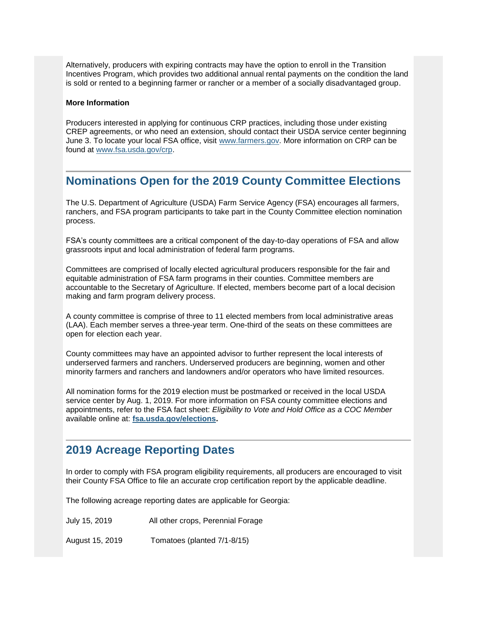Alternatively, producers with expiring contracts may have the option to enroll in the Transition Incentives Program, which provides two additional annual rental payments on the condition the land is sold or rented to a beginning farmer or rancher or a member of a socially disadvantaged group.

#### **More Information**

Producers interested in applying for continuous CRP practices, including those under existing CREP agreements, or who need an extension, should contact their USDA service center beginning June 3. To locate your local FSA office, visit [www.farmers.gov.](https://gcc01.safelinks.protection.outlook.com/?url=https%3A%2F%2Fwww.farmers.gov%2F%3Futm_medium%3Demail%26utm_source%3Dgovdelivery&data=01%7C01%7C%7Cc546608a2b57463bdea908d6f346e3da%7Ced5b36e701ee4ebc867ee03cfa0d4697%7C1&sdata=TR6SVAcdoZtmp%2BYKUq1MdQ9sdsep6TGufxIKbX1F1QE%3D&reserved=0) More information on CRP can be found at [www.fsa.usda.gov/crp.](https://gcc01.safelinks.protection.outlook.com/?url=https%3A%2F%2Fwww.fsa.usda.gov%2Fprograms-and-services%2Fconservation-programs%2Fconservation-reserve-program%2Findex%3Futm_medium%3Demail%26utm_source%3Dgovdelivery&data=01%7C01%7C%7Cc546608a2b57463bdea908d6f346e3da%7Ced5b36e701ee4ebc867ee03cfa0d4697%7C1&sdata=oLN%2Biyil%2FWGcviA14IEKtUFzde65oG6sCoDmhZbzJLw%3D&reserved=0)

## <span id="page-3-0"></span>**Nominations Open for the 2019 County Committee Elections**

The U.S. Department of Agriculture (USDA) Farm Service Agency (FSA) encourages all farmers, ranchers, and FSA program participants to take part in the County Committee election nomination process.

FSA's county committees are a critical component of the day-to-day operations of FSA and allow grassroots input and local administration of federal farm programs.

Committees are comprised of locally elected agricultural producers responsible for the fair and equitable administration of FSA farm programs in their counties. Committee members are accountable to the Secretary of Agriculture. If elected, members become part of a local decision making and farm program delivery process.

A county committee is comprise of three to 11 elected members from local administrative areas (LAA). Each member serves a three-year term. One-third of the seats on these committees are open for election each year.

County committees may have an appointed advisor to further represent the local interests of underserved farmers and ranchers. Underserved producers are beginning, women and other minority farmers and ranchers and landowners and/or operators who have limited resources.

All nomination forms for the 2019 election must be postmarked or received in the local USDA service center by Aug. 1, 2019. For more information on FSA county committee elections and appointments, refer to the FSA fact sheet: *Eligibility to Vote and Hold Office as a COC Member*  available online at: **[fsa.usda.gov/elections.](https://gcc01.safelinks.protection.outlook.com/?url=http%3A%2F%2Fwww.fsa.usda.gov%2Felections%3Futm_medium%3Demail%26utm_source%3Dgovdelivery&data=01%7C01%7C%7Cc546608a2b57463bdea908d6f346e3da%7Ced5b36e701ee4ebc867ee03cfa0d4697%7C1&sdata=OKUrmUQuRH2Tly6qGCtXdAXSQMRUY2SiR9e6os%2F0itY%3D&reserved=0)** 

## <span id="page-3-1"></span>**2019 Acreage Reporting Dates**

In order to comply with FSA program eligibility requirements, all producers are encouraged to visit their County FSA Office to file an accurate crop certification report by the applicable deadline.

The following acreage reporting dates are applicable for Georgia:

July 15, 2019 All other crops, Perennial Forage

August 15, 2019 Tomatoes (planted 7/1-8/15)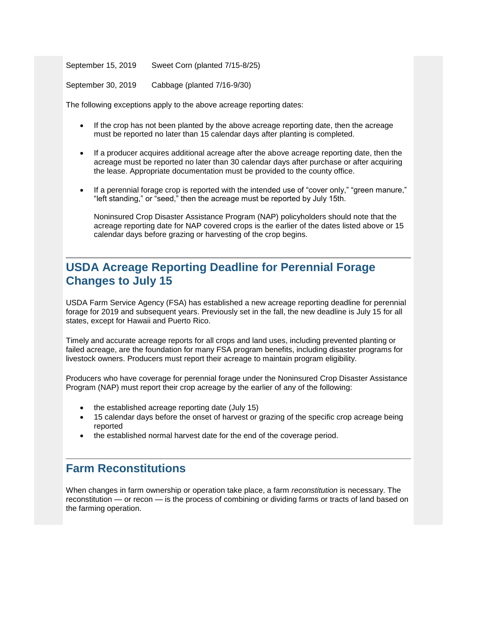September 15, 2019 Sweet Corn (planted 7/15-8/25)

September 30, 2019 Cabbage (planted 7/16-9/30)

The following exceptions apply to the above acreage reporting dates:

- If the crop has not been planted by the above acreage reporting date, then the acreage must be reported no later than 15 calendar days after planting is completed.
- If a producer acquires additional acreage after the above acreage reporting date, then the acreage must be reported no later than 30 calendar days after purchase or after acquiring the lease. Appropriate documentation must be provided to the county office.
- If a perennial forage crop is reported with the intended use of "cover only," "green manure," "left standing," or "seed," then the acreage must be reported by July 15th.

Noninsured Crop Disaster Assistance Program (NAP) policyholders should note that the acreage reporting date for NAP covered crops is the earlier of the dates listed above or 15 calendar days before grazing or harvesting of the crop begins.

## <span id="page-4-0"></span>**USDA Acreage Reporting Deadline for Perennial Forage Changes to July 15**

USDA Farm Service Agency (FSA) has established a new acreage reporting deadline for perennial forage for 2019 and subsequent years. Previously set in the fall, the new deadline is July 15 for all states, except for Hawaii and Puerto Rico.

Timely and accurate acreage reports for all crops and land uses, including prevented planting or failed acreage, are the foundation for many FSA program benefits, including disaster programs for livestock owners. Producers must report their acreage to maintain program eligibility.

Producers who have coverage for perennial forage under the Noninsured Crop Disaster Assistance Program (NAP) must report their crop acreage by the earlier of any of the following:

- the established acreage reporting date (July 15)
- 15 calendar days before the onset of harvest or grazing of the specific crop acreage being reported
- the established normal harvest date for the end of the coverage period.

## <span id="page-4-1"></span>**Farm Reconstitutions**

When changes in farm ownership or operation take place, a farm *reconstitution* is necessary. The reconstitution — or recon — is the process of combining or dividing farms or tracts of land based on the farming operation.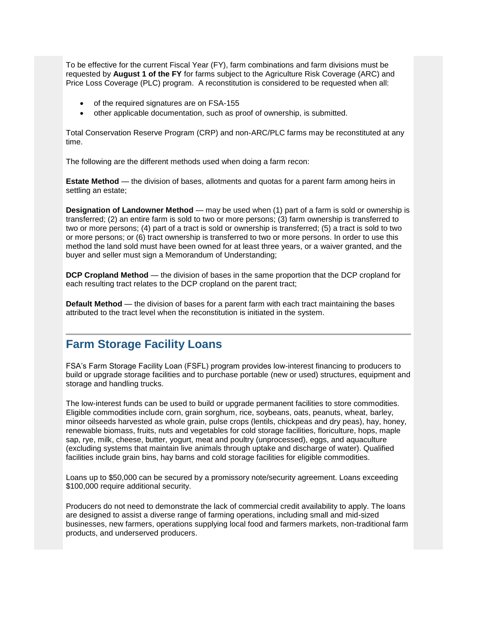To be effective for the current Fiscal Year (FY), farm combinations and farm divisions must be requested by **August 1 of the FY** for farms subject to the Agriculture Risk Coverage (ARC) and Price Loss Coverage (PLC) program. A reconstitution is considered to be requested when all:

- of the required signatures are on FSA-155
- other applicable documentation, such as proof of ownership, is submitted.

Total Conservation Reserve Program (CRP) and non-ARC/PLC farms may be reconstituted at any time.

The following are the different methods used when doing a farm recon:

**Estate Method** — the division of bases, allotments and quotas for a parent farm among heirs in settling an estate;

**Designation of Landowner Method** — may be used when (1) part of a farm is sold or ownership is transferred; (2) an entire farm is sold to two or more persons; (3) farm ownership is transferred to two or more persons; (4) part of a tract is sold or ownership is transferred; (5) a tract is sold to two or more persons; or (6) tract ownership is transferred to two or more persons. In order to use this method the land sold must have been owned for at least three years, or a waiver granted, and the buyer and seller must sign a Memorandum of Understanding;

**DCP Cropland Method** — the division of bases in the same proportion that the DCP cropland for each resulting tract relates to the DCP cropland on the parent tract;

**Default Method** — the division of bases for a parent farm with each tract maintaining the bases attributed to the tract level when the reconstitution is initiated in the system.

## <span id="page-5-0"></span>**Farm Storage Facility Loans**

FSA's Farm Storage Facility Loan (FSFL) program provides low-interest financing to producers to build or upgrade storage facilities and to purchase portable (new or used) structures, equipment and storage and handling trucks.

The low-interest funds can be used to build or upgrade permanent facilities to store commodities. Eligible commodities include corn, grain sorghum, rice, soybeans, oats, peanuts, wheat, barley, minor oilseeds harvested as whole grain, pulse crops (lentils, chickpeas and dry peas), hay, honey, renewable biomass, fruits, nuts and vegetables for cold storage facilities, floriculture, hops, maple sap, rye, milk, cheese, butter, yogurt, meat and poultry (unprocessed), eggs, and aquaculture (excluding systems that maintain live animals through uptake and discharge of water). Qualified facilities include grain bins, hay barns and cold storage facilities for eligible commodities.

Loans up to \$50,000 can be secured by a promissory note/security agreement. Loans exceeding \$100,000 require additional security.

Producers do not need to demonstrate the lack of commercial credit availability to apply. The loans are designed to assist a diverse range of farming operations, including small and mid-sized businesses, new farmers, operations supplying local food and farmers markets, non-traditional farm products, and underserved producers.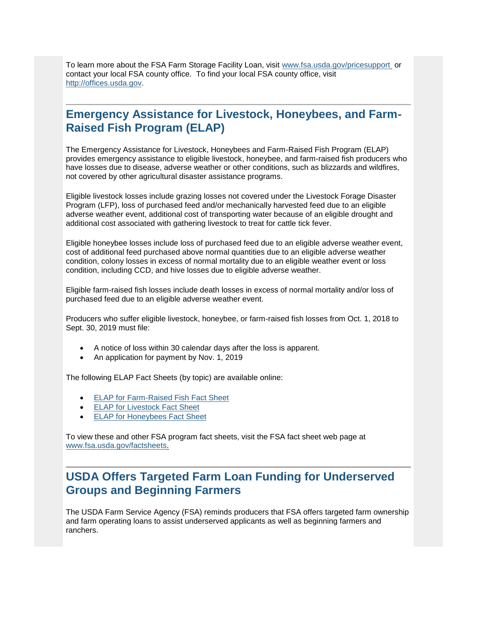To learn more about the FSA Farm Storage Facility Loan, visit [www.fsa.usda.gov/pricesupport](https://gcc01.safelinks.protection.outlook.com/?url=http%3A%2F%2Fwww.fsa.usda.gov%2Fpricesupport%3Futm_medium%3Demail%26utm_source%3Dgovdelivery&data=01%7C01%7C%7Cc546608a2b57463bdea908d6f346e3da%7Ced5b36e701ee4ebc867ee03cfa0d4697%7C1&sdata=rD30pCPwOVGvMKao%2FIkTlUlo0YBOtWlY6A5BA6%2BJnZM%3D&reserved=0) or contact your local FSA county office. To find your local FSA county office, visit [http://offices.usda.gov.](https://gcc01.safelinks.protection.outlook.com/?url=http%3A%2F%2Foffices.usda.gov%2F%3Futm_medium%3Demail%26utm_source%3Dgovdelivery&data=01%7C01%7C%7Cc546608a2b57463bdea908d6f346e3da%7Ced5b36e701ee4ebc867ee03cfa0d4697%7C1&sdata=u8ejkUUaTfoDqc6yDN%2BaNi6btJkVM6LG3WLTtLcVcNs%3D&reserved=0)

## <span id="page-6-0"></span>**Emergency Assistance for Livestock, Honeybees, and Farm-Raised Fish Program (ELAP)**

The Emergency Assistance for Livestock, Honeybees and Farm-Raised Fish Program (ELAP) provides emergency assistance to eligible livestock, honeybee, and farm-raised fish producers who have losses due to disease, adverse weather or other conditions, such as blizzards and wildfires, not covered by other agricultural disaster assistance programs.

Eligible livestock losses include grazing losses not covered under the Livestock Forage Disaster Program (LFP), loss of purchased feed and/or mechanically harvested feed due to an eligible adverse weather event, additional cost of transporting water because of an eligible drought and additional cost associated with gathering livestock to treat for cattle tick fever.

Eligible honeybee losses include loss of purchased feed due to an eligible adverse weather event, cost of additional feed purchased above normal quantities due to an eligible adverse weather condition, colony losses in excess of normal mortality due to an eligible weather event or loss condition, including CCD, and hive losses due to eligible adverse weather.

Eligible farm-raised fish losses include death losses in excess of normal mortality and/or loss of purchased feed due to an eligible adverse weather event.

Producers who suffer eligible livestock, honeybee, or farm-raised fish losses from Oct. 1, 2018 to Sept. 30, 2019 must file:

- A notice of loss within 30 calendar days after the loss is apparent.
- An application for payment by Nov. 1, 2019

The following ELAP Fact Sheets (by topic) are available online:

- [ELAP for Farm-Raised Fish Fact Sheet](https://gcc01.safelinks.protection.outlook.com/?url=https%3A%2F%2Fwww.fsa.usda.gov%2FAssets%2FUSDA-FSA-Public%2Fusdafiles%2FFactSheets%2F2018%2Felap_farm-raised_fish_assistance_fact_sheet-may_2018.pdf%3Futm_medium%3Demail%26utm_source%3Dgovdelivery&data=01%7C01%7C%7Cc546608a2b57463bdea908d6f346e3da%7Ced5b36e701ee4ebc867ee03cfa0d4697%7C1&sdata=APw6OkfbmMfpLynSKUov4ztfj%2BScIL94az29OT0cr4Q%3D&reserved=0)
- **[ELAP for Livestock Fact Sheet](https://gcc01.safelinks.protection.outlook.com/?url=https%3A%2F%2Fwww.fsa.usda.gov%2FAssets%2FUSDA-FSA-Public%2Fusdafiles%2FFactSheets%2F2018%2Felap_livestock_assistance_fact_sheet-may_2018.pdf%3Futm_medium%3Demail%26utm_source%3Dgovdelivery&data=01%7C01%7C%7Cc546608a2b57463bdea908d6f346e3da%7Ced5b36e701ee4ebc867ee03cfa0d4697%7C1&sdata=%2F51Vv7VwV5oSLcb0SesoUuti%2FpQc2wOTTHMuO4689ek%3D&reserved=0)**
- **[ELAP for Honeybees Fact Sheet](https://gcc01.safelinks.protection.outlook.com/?url=https%3A%2F%2Fwww.fsa.usda.gov%2FAssets%2FUSDA-FSA-Public%2Fusdafiles%2FFactSheets%2F2018%2Felap_honeybee_assistance_fact_sheet-may_2018.pdf%3Futm_medium%3Demail%26utm_source%3Dgovdelivery&data=01%7C01%7C%7Cc546608a2b57463bdea908d6f346e3da%7Ced5b36e701ee4ebc867ee03cfa0d4697%7C1&sdata=C53yGffkF5j3NaQ2%2BwzQKMIbLkZoXIZD2EQjIP5fekY%3D&reserved=0)**

To view these and other FSA program fact sheets, visit the FSA fact sheet web page at [www.fsa.usda.gov/factsheets.](https://gcc01.safelinks.protection.outlook.com/?url=http%3A%2F%2Fwww.fsa.usda.gov%2Ffactsheets%3Futm_medium%3Demail%26utm_source%3Dgovdelivery&data=01%7C01%7C%7Cc546608a2b57463bdea908d6f346e3da%7Ced5b36e701ee4ebc867ee03cfa0d4697%7C1&sdata=dmscYXwtmnjX1IeFLqw%2BD5C6kiJxzaVb7D7AIXVI4RQ%3D&reserved=0)

## <span id="page-6-1"></span>**USDA Offers Targeted Farm Loan Funding for Underserved Groups and Beginning Farmers**

The USDA Farm Service Agency (FSA) reminds producers that FSA offers targeted farm ownership and farm operating loans to assist underserved applicants as well as beginning farmers and ranchers.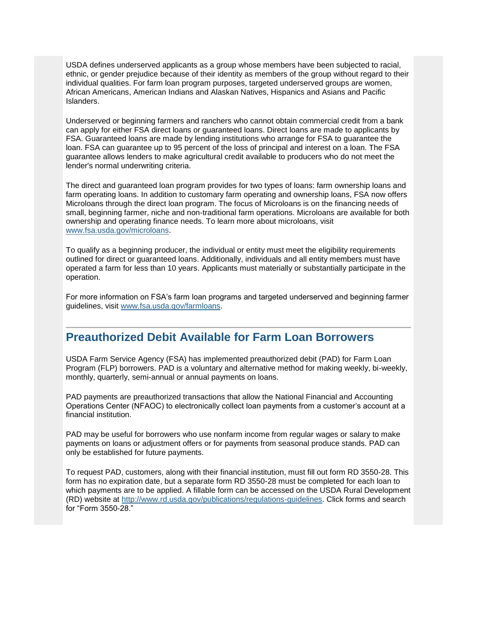USDA defines underserved applicants as a group whose members have been subjected to racial, ethnic, or gender prejudice because of their identity as members of the group without regard to their individual qualities. For farm loan program purposes, targeted underserved groups are women, African Americans, American Indians and Alaskan Natives, Hispanics and Asians and Pacific Islanders.

Underserved or beginning farmers and ranchers who cannot obtain commercial credit from a bank can apply for either FSA direct loans or guaranteed loans. Direct loans are made to applicants by FSA. Guaranteed loans are made by lending institutions who arrange for FSA to guarantee the loan. FSA can guarantee up to 95 percent of the loss of principal and interest on a loan. The FSA guarantee allows lenders to make agricultural credit available to producers who do not meet the lender's normal underwriting criteria.

The direct and guaranteed loan program provides for two types of loans: farm ownership loans and farm operating loans. In addition to customary farm operating and ownership loans, FSA now offers Microloans through the direct loan program. The focus of Microloans is on the financing needs of small, beginning farmer, niche and non-traditional farm operations. Microloans are available for both ownership and operating finance needs. To learn more about microloans, visit [www.fsa.usda.gov/microloans.](https://gcc01.safelinks.protection.outlook.com/?url=http%3A%2F%2Fwww.fsa.usda.gov%2Fmicroloans%3Futm_medium%3Demail%26utm_source%3Dgovdelivery&data=01%7C01%7C%7Cc546608a2b57463bdea908d6f346e3da%7Ced5b36e701ee4ebc867ee03cfa0d4697%7C1&sdata=dyGeUU96kHf2Osuzy4B8KRcBTE1XSK8STzRCCj9WGWE%3D&reserved=0)

To qualify as a beginning producer, the individual or entity must meet the eligibility requirements outlined for direct or guaranteed loans. Additionally, individuals and all entity members must have operated a farm for less than 10 years. Applicants must materially or substantially participate in the operation.

For more information on FSA's farm loan programs and targeted underserved and beginning farmer guidelines, visit [www.fsa.usda.gov/farmloans.](https://gcc01.safelinks.protection.outlook.com/?url=http%3A%2F%2Fwww.fsa.usda.gov%2Ffarmloans%3Futm_medium%3Demail%26utm_source%3Dgovdelivery&data=01%7C01%7C%7Cc546608a2b57463bdea908d6f346e3da%7Ced5b36e701ee4ebc867ee03cfa0d4697%7C1&sdata=B71KOLAZ13Eu1kYP6Q3a8jAxKnKeNY5RKr79J8DP51E%3D&reserved=0)

## <span id="page-7-0"></span>**Preauthorized Debit Available for Farm Loan Borrowers**

USDA Farm Service Agency (FSA) has implemented preauthorized debit (PAD) for Farm Loan Program (FLP) borrowers. PAD is a voluntary and alternative method for making weekly, bi-weekly, monthly, quarterly, semi-annual or annual payments on loans.

PAD payments are preauthorized transactions that allow the National Financial and Accounting Operations Center (NFAOC) to electronically collect loan payments from a customer's account at a financial institution.

PAD may be useful for borrowers who use nonfarm income from regular wages or salary to make payments on loans or adjustment offers or for payments from seasonal produce stands. PAD can only be established for future payments.

To request PAD, customers, along with their financial institution, must fill out form RD 3550-28. This form has no expiration date, but a separate form RD 3550-28 must be completed for each loan to which payments are to be applied. A fillable form can be accessed on the USDA Rural Development (RD) website at [http://www.rd.usda.gov/publications/regulations-guidelines.](https://gcc01.safelinks.protection.outlook.com/?url=http%3A%2F%2Fwww.rd.usda.gov%2Fpublications%2Fregulations-guidelines%3Futm_medium%3Demail%26utm_source%3Dgovdelivery&data=01%7C01%7C%7Cc546608a2b57463bdea908d6f346e3da%7Ced5b36e701ee4ebc867ee03cfa0d4697%7C1&sdata=kVbOZTdjbjT7b0u0%2BT8olHdh%2FBve36YrJKKFUac1%2F%2Bg%3D&reserved=0) Click forms and search for "Form 3550-28."